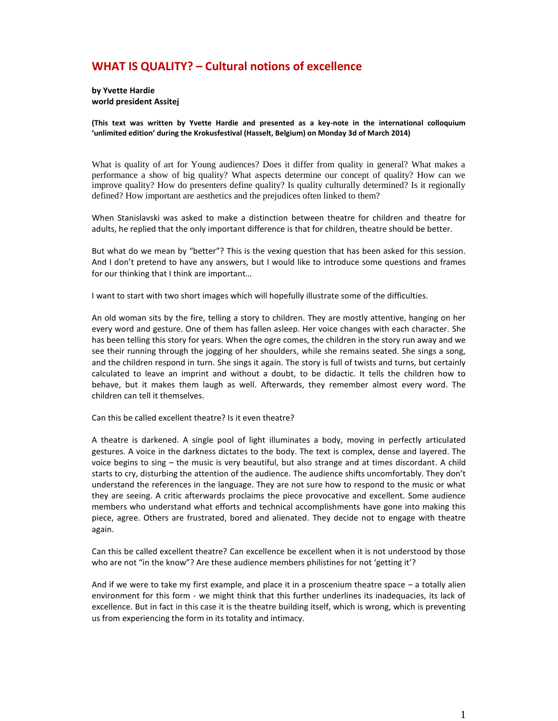## **WHAT IS QUALITY? – Cultural notions of excellence**

**by Yvette Hardie world president Assitej**

**(This text was written by Yvette Hardie and presented as a key-note in the international colloquium 'unlimited edition' during the Krokusfestival (Hasselt, Belgium) on Monday 3d of March 2014)**

What is quality of art for Young audiences? Does it differ from quality in general? What makes a performance a show of big quality? What aspects determine our concept of quality? How can we improve quality? How do presenters define quality? Is quality culturally determined? Is it regionally defined? How important are aesthetics and the prejudices often linked to them?

When Stanislavski was asked to make a distinction between theatre for children and theatre for adults, he replied that the only important difference is that for children, theatre should be better.

But what do we mean by "better"? This is the vexing question that has been asked for this session. And I don't pretend to have any answers, but I would like to introduce some questions and frames for our thinking that I think are important…

I want to start with two short images which will hopefully illustrate some of the difficulties.

An old woman sits by the fire, telling a story to children. They are mostly attentive, hanging on her every word and gesture. One of them has fallen asleep. Her voice changes with each character. She has been telling this story for years. When the ogre comes, the children in the story run away and we see their running through the jogging of her shoulders, while she remains seated. She sings a song, and the children respond in turn. She sings it again. The story is full of twists and turns, but certainly calculated to leave an imprint and without a doubt, to be didactic. It tells the children how to behave, but it makes them laugh as well. Afterwards, they remember almost every word. The children can tell it themselves.

Can this be called excellent theatre? Is it even theatre?

A theatre is darkened. A single pool of light illuminates a body, moving in perfectly articulated gestures. A voice in the darkness dictates to the body. The text is complex, dense and layered. The voice begins to sing – the music is very beautiful, but also strange and at times discordant. A child starts to cry, disturbing the attention of the audience. The audience shifts uncomfortably. They don't understand the references in the language. They are not sure how to respond to the music or what they are seeing. A critic afterwards proclaims the piece provocative and excellent. Some audience members who understand what efforts and technical accomplishments have gone into making this piece, agree. Others are frustrated, bored and alienated. They decide not to engage with theatre again.

Can this be called excellent theatre? Can excellence be excellent when it is not understood by those who are not "in the know"? Are these audience members philistines for not 'getting it'?

And if we were to take my first example, and place it in a proscenium theatre space – a totally alien environment for this form - we might think that this further underlines its inadequacies, its lack of excellence. But in fact in this case it is the theatre building itself, which is wrong, which is preventing us from experiencing the form in its totality and intimacy.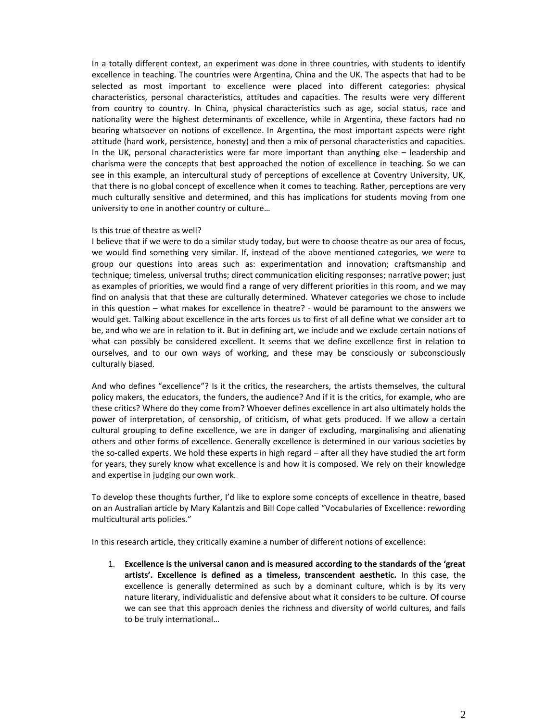In a totally different context, an experiment was done in three countries, with students to identify excellence in teaching. The countries were Argentina, China and the UK. The aspects that had to be selected as most important to excellence were placed into different categories: physical characteristics, personal characteristics, attitudes and capacities. The results were very different from country to country. In China, physical characteristics such as age, social status, race and nationality were the highest determinants of excellence, while in Argentina, these factors had no bearing whatsoever on notions of excellence. In Argentina, the most important aspects were right attitude (hard work, persistence, honesty) and then a mix of personal characteristics and capacities. In the UK, personal characteristics were far more important than anything else – leadership and charisma were the concepts that best approached the notion of excellence in teaching. So we can see in this example, an intercultural study of perceptions of excellence at Coventry University, UK, that there is no global concept of excellence when it comes to teaching. Rather, perceptions are very much culturally sensitive and determined, and this has implications for students moving from one university to one in another country or culture…

## Is this true of theatre as well?

I believe that if we were to do a similar study today, but were to choose theatre as our area of focus, we would find something very similar. If, instead of the above mentioned categories, we were to group our questions into areas such as: experimentation and innovation; craftsmanship and technique; timeless, universal truths; direct communication eliciting responses; narrative power; just as examples of priorities, we would find a range of very different priorities in this room, and we may find on analysis that that these are culturally determined. Whatever categories we chose to include in this question – what makes for excellence in theatre? - would be paramount to the answers we would get. Talking about excellence in the arts forces us to first of all define what we consider art to be, and who we are in relation to it. But in defining art, we include and we exclude certain notions of what can possibly be considered excellent. It seems that we define excellence first in relation to ourselves, and to our own ways of working, and these may be consciously or subconsciously culturally biased.

And who defines "excellence"? Is it the critics, the researchers, the artists themselves, the cultural policy makers, the educators, the funders, the audience? And if it is the critics, for example, who are these critics? Where do they come from? Whoever defines excellence in art also ultimately holds the power of interpretation, of censorship, of criticism, of what gets produced. If we allow a certain cultural grouping to define excellence, we are in danger of excluding, marginalising and alienating others and other forms of excellence. Generally excellence is determined in our various societies by the so-called experts. We hold these experts in high regard – after all they have studied the art form for years, they surely know what excellence is and how it is composed. We rely on their knowledge and expertise in judging our own work.

To develop these thoughts further, I'd like to explore some concepts of excellence in theatre, based on an Australian article by Mary Kalantzis and Bill Cope called "Vocabularies of Excellence: rewording multicultural arts policies."

In this research article, they critically examine a number of different notions of excellence:

1. **Excellence is the universal canon and is measured according to the standards of the 'great artists'. Excellence is defined as a timeless, transcendent aesthetic.** In this case, the excellence is generally determined as such by a dominant culture, which is by its very nature literary, individualistic and defensive about what it considers to be culture. Of course we can see that this approach denies the richness and diversity of world cultures, and fails to be truly international…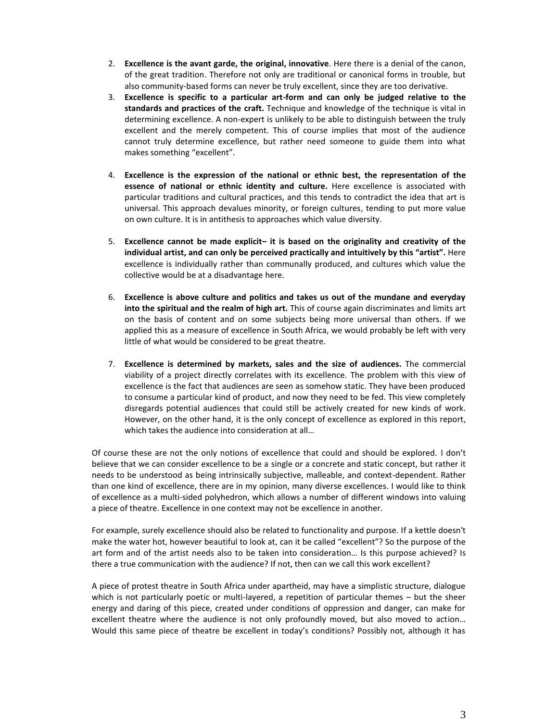- 2. **Excellence is the avant garde, the original, innovative**. Here there is a denial of the canon, of the great tradition. Therefore not only are traditional or canonical forms in trouble, but also community-based forms can never be truly excellent, since they are too derivative.
- 3. **Excellence is specific to a particular art-form and can only be judged relative to the standards and practices of the craft.** Technique and knowledge of the technique is vital in determining excellence. A non-expert is unlikely to be able to distinguish between the truly excellent and the merely competent. This of course implies that most of the audience cannot truly determine excellence, but rather need someone to guide them into what makes something "excellent".
- 4. **Excellence is the expression of the national or ethnic best, the representation of the essence of national or ethnic identity and culture.** Here excellence is associated with particular traditions and cultural practices, and this tends to contradict the idea that art is universal. This approach devalues minority, or foreign cultures, tending to put more value on own culture. It is in antithesis to approaches which value diversity.
- 5. **Excellence cannot be made explicit– it is based on the originality and creativity of the individual artist, and can only be perceived practically and intuitively by this "artist".** Here excellence is individually rather than communally produced, and cultures which value the collective would be at a disadvantage here.
- 6. **Excellence is above culture and politics and takes us out of the mundane and everyday into the spiritual and the realm of high art.** This of course again discriminates and limits art on the basis of content and on some subjects being more universal than others. If we applied this as a measure of excellence in South Africa, we would probably be left with very little of what would be considered to be great theatre.
- 7. **Excellence is determined by markets, sales and the size of audiences.** The commercial viability of a project directly correlates with its excellence. The problem with this view of excellence is the fact that audiences are seen as somehow static. They have been produced to consume a particular kind of product, and now they need to be fed. This view completely disregards potential audiences that could still be actively created for new kinds of work. However, on the other hand, it is the only concept of excellence as explored in this report, which takes the audience into consideration at all…

Of course these are not the only notions of excellence that could and should be explored. I don't believe that we can consider excellence to be a single or a concrete and static concept, but rather it needs to be understood as being intrinsically subjective, malleable, and context-dependent. Rather than one kind of excellence, there are in my opinion, many diverse excellences. I would like to think of excellence as a multi-sided polyhedron, which allows a number of different windows into valuing a piece of theatre. Excellence in one context may not be excellence in another.

For example, surely excellence should also be related to functionality and purpose. If a kettle doesn't make the water hot, however beautiful to look at, can it be called "excellent"? So the purpose of the art form and of the artist needs also to be taken into consideration… Is this purpose achieved? Is there a true communication with the audience? If not, then can we call this work excellent?

A piece of protest theatre in South Africa under apartheid, may have a simplistic structure, dialogue which is not particularly poetic or multi-layered, a repetition of particular themes – but the sheer energy and daring of this piece, created under conditions of oppression and danger, can make for excellent theatre where the audience is not only profoundly moved, but also moved to action… Would this same piece of theatre be excellent in today's conditions? Possibly not, although it has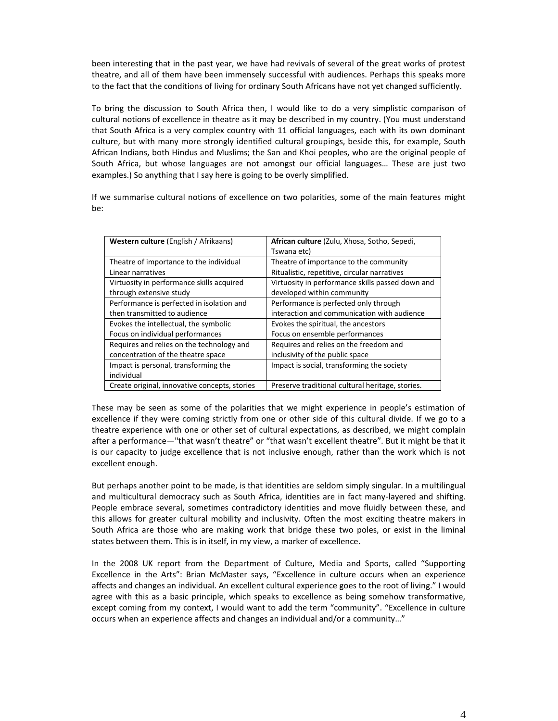been interesting that in the past year, we have had revivals of several of the great works of protest theatre, and all of them have been immensely successful with audiences. Perhaps this speaks more to the fact that the conditions of living for ordinary South Africans have not yet changed sufficiently.

To bring the discussion to South Africa then, I would like to do a very simplistic comparison of cultural notions of excellence in theatre as it may be described in my country. (You must understand that South Africa is a very complex country with 11 official languages, each with its own dominant culture, but with many more strongly identified cultural groupings, beside this, for example, South African Indians, both Hindus and Muslims; the San and Khoi peoples, who are the original people of South Africa, but whose languages are not amongst our official languages… These are just two examples.) So anything that I say here is going to be overly simplified.

If we summarise cultural notions of excellence on two polarities, some of the main features might be:

| Western culture (English / Afrikaans)         | African culture (Zulu, Xhosa, Sotho, Sepedi,     |
|-----------------------------------------------|--------------------------------------------------|
|                                               | Tswana etc)                                      |
| Theatre of importance to the individual       | Theatre of importance to the community           |
| Linear narratives                             | Ritualistic, repetitive, circular narratives     |
| Virtuosity in performance skills acquired     | Virtuosity in performance skills passed down and |
| through extensive study                       | developed within community                       |
| Performance is perfected in isolation and     | Performance is perfected only through            |
| then transmitted to audience                  | interaction and communication with audience      |
| Evokes the intellectual, the symbolic         | Evokes the spiritual, the ancestors              |
| Focus on individual performances              | Focus on ensemble performances                   |
| Requires and relies on the technology and     | Requires and relies on the freedom and           |
| concentration of the theatre space            | inclusivity of the public space                  |
| Impact is personal, transforming the          | Impact is social, transforming the society       |
| individual                                    |                                                  |
| Create original, innovative concepts, stories | Preserve traditional cultural heritage, stories. |

These may be seen as some of the polarities that we might experience in people's estimation of excellence if they were coming strictly from one or other side of this cultural divide. If we go to a theatre experience with one or other set of cultural expectations, as described, we might complain after a performance—"that wasn't theatre" or "that wasn't excellent theatre". But it might be that it is our capacity to judge excellence that is not inclusive enough, rather than the work which is not excellent enough.

But perhaps another point to be made, is that identities are seldom simply singular. In a multilingual and multicultural democracy such as South Africa, identities are in fact many-layered and shifting. People embrace several, sometimes contradictory identities and move fluidly between these, and this allows for greater cultural mobility and inclusivity. Often the most exciting theatre makers in South Africa are those who are making work that bridge these two poles, or exist in the liminal states between them. This is in itself, in my view, a marker of excellence.

In the 2008 UK report from the Department of Culture, Media and Sports, called "Supporting Excellence in the Arts": Brian McMaster says, "Excellence in culture occurs when an experience affects and changes an individual. An excellent cultural experience goes to the root of living." I would agree with this as a basic principle, which speaks to excellence as being somehow transformative, except coming from my context, I would want to add the term "community". "Excellence in culture occurs when an experience affects and changes an individual and/or a community…"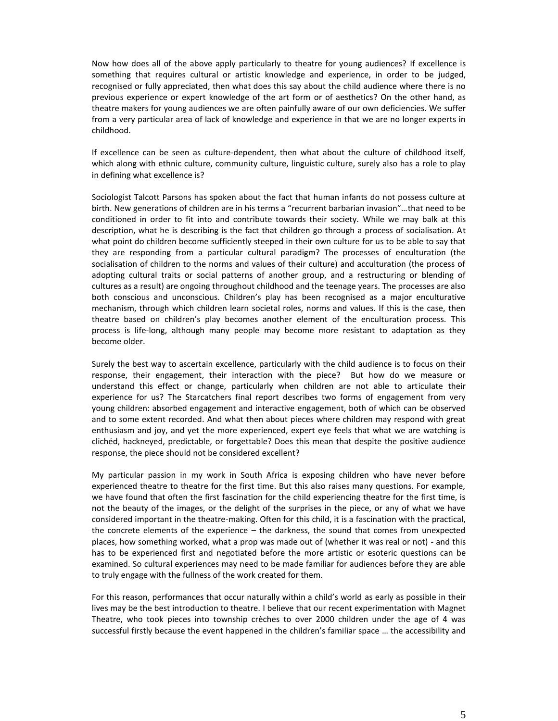Now how does all of the above apply particularly to theatre for young audiences? If excellence is something that requires cultural or artistic knowledge and experience, in order to be judged, recognised or fully appreciated, then what does this say about the child audience where there is no previous experience or expert knowledge of the art form or of aesthetics? On the other hand, as theatre makers for young audiences we are often painfully aware of our own deficiencies. We suffer from a very particular area of lack of knowledge and experience in that we are no longer experts in childhood.

If excellence can be seen as culture-dependent, then what about the culture of childhood itself, which along with ethnic culture, community culture, linguistic culture, surely also has a role to play in defining what excellence is?

Sociologist Talcott Parsons has spoken about the fact that human infants do not possess culture at birth. New generations of children are in his terms a "recurrent barbarian invasion"…that need to be conditioned in order to fit into and contribute towards their society. While we may balk at this description, what he is describing is the fact that children go through a process of socialisation. At what point do children become sufficiently steeped in their own culture for us to be able to say that they are responding from a particular cultural paradigm? The processes of enculturation (the socialisation of children to the norms and values of their culture) and acculturation (the process of adopting cultural traits or social patterns of another group, and a restructuring or blending of cultures as a result) are ongoing throughout childhood and the teenage years. The processes are also both conscious and unconscious. Children's play has been recognised as a major enculturative mechanism, through which children learn societal roles, norms and values. If this is the case, then theatre based on children's play becomes another element of the enculturation process. This process is life-long, although many people may become more resistant to adaptation as they become older.

Surely the best way to ascertain excellence, particularly with the child audience is to focus on their response, their engagement, their interaction with the piece? But how do we measure or understand this effect or change, particularly when children are not able to articulate their experience for us? The Starcatchers final report describes two forms of engagement from very young children: absorbed engagement and interactive engagement, both of which can be observed and to some extent recorded. And what then about pieces where children may respond with great enthusiasm and joy, and yet the more experienced, expert eye feels that what we are watching is clichéd, hackneyed, predictable, or forgettable? Does this mean that despite the positive audience response, the piece should not be considered excellent?

My particular passion in my work in South Africa is exposing children who have never before experienced theatre to theatre for the first time. But this also raises many questions. For example, we have found that often the first fascination for the child experiencing theatre for the first time, is not the beauty of the images, or the delight of the surprises in the piece, or any of what we have considered important in the theatre-making. Often for this child, it is a fascination with the practical, the concrete elements of the experience – the darkness, the sound that comes from unexpected places, how something worked, what a prop was made out of (whether it was real or not) - and this has to be experienced first and negotiated before the more artistic or esoteric questions can be examined. So cultural experiences may need to be made familiar for audiences before they are able to truly engage with the fullness of the work created for them.

For this reason, performances that occur naturally within a child's world as early as possible in their lives may be the best introduction to theatre. I believe that our recent experimentation with Magnet Theatre, who took pieces into township crèches to over 2000 children under the age of 4 was successful firstly because the event happened in the children's familiar space … the accessibility and